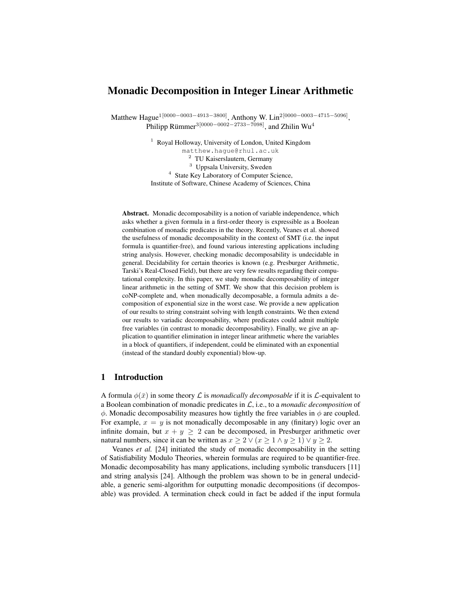# Monadic Decomposition in Integer Linear Arithmetic

Matthew Hague<sup>1[0000–0003–4913–3800]</sup>, Anthony W. Lin<sup>2[0000–0003–4715–5096],</sup> Philipp Rümmer $^{3[0000-0002-2733-7098]}$ , and Zhilin Wu $^{4}$ 

> <sup>1</sup> Royal Holloway, University of London, United Kingdom matthew.hague@rhul.ac.uk <sup>2</sup> TU Kaiserslautern, Germany <sup>3</sup> Uppsala University, Sweden <sup>4</sup> State Key Laboratory of Computer Science, Institute of Software, Chinese Academy of Sciences, China

Abstract. Monadic decomposability is a notion of variable independence, which asks whether a given formula in a first-order theory is expressible as a Boolean combination of monadic predicates in the theory. Recently, Veanes et al. showed the usefulness of monadic decomposability in the context of SMT (i.e. the input formula is quantifier-free), and found various interesting applications including string analysis. However, checking monadic decomposability is undecidable in general. Decidability for certain theories is known (e.g. Presburger Arithmetic, Tarski's Real-Closed Field), but there are very few results regarding their computational complexity. In this paper, we study monadic decomposability of integer linear arithmetic in the setting of SMT. We show that this decision problem is coNP-complete and, when monadically decomposable, a formula admits a decomposition of exponential size in the worst case. We provide a new application of our results to string constraint solving with length constraints. We then extend our results to variadic decomposability, where predicates could admit multiple free variables (in contrast to monadic decomposability). Finally, we give an application to quantifier elimination in integer linear arithmetic where the variables in a block of quantifiers, if independent, could be eliminated with an exponential (instead of the standard doubly exponential) blow-up.

## 1 Introduction

A formula  $\phi(\bar{x})$  in some theory L is *monadically decomposable* if it is L-equivalent to a Boolean combination of monadic predicates in L, i.e., to a *monadic decomposition* of  $\phi$ . Monadic decomposability measures how tightly the free variables in  $\phi$  are coupled. For example,  $x = y$  is not monadically decomposable in any (finitary) logic over an infinite domain, but  $x + y \ge 2$  can be decomposed, in Presburger arithmetic over natural numbers, since it can be written as  $x \ge 2 \vee (x \ge 1 \wedge y \ge 1) \vee y \ge 2$ .

Veanes *et al.* [24] initiated the study of monadic decomposability in the setting of Satisfiability Modulo Theories, wherein formulas are required to be quantifier-free. Monadic decomposability has many applications, including symbolic transducers [11] and string analysis [24]. Although the problem was shown to be in general undecidable, a generic semi-algorithm for outputting monadic decompositions (if decomposable) was provided. A termination check could in fact be added if the input formula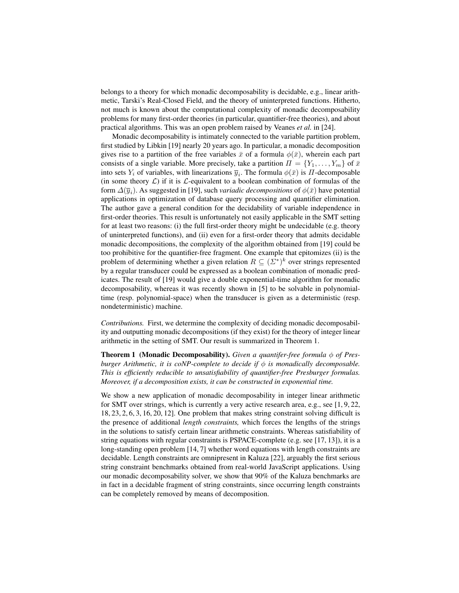belongs to a theory for which monadic decomposability is decidable, e.g., linear arithmetic, Tarski's Real-Closed Field, and the theory of uninterpreted functions. Hitherto, not much is known about the computational complexity of monadic decomposability problems for many first-order theories (in particular, quantifier-free theories), and about practical algorithms. This was an open problem raised by Veanes *et al.* in [24].

Monadic decomposability is intimately connected to the variable partition problem, first studied by Libkin [19] nearly 20 years ago. In particular, a monadic decomposition gives rise to a partition of the free variables  $\bar{x}$  of a formula  $\phi(\bar{x})$ , wherein each part consists of a single variable. More precisely, take a partition  $\Pi = \{Y_1, \ldots, Y_m\}$  of  $\bar{x}$ into sets  $Y_i$  of variables, with linearizations  $\overline{y}_i$ . The formula  $\phi(\overline{x})$  is  $\Pi$ -decomposable (in some theory  $\mathcal{L}$ ) if it is  $\mathcal{L}$ -equivalent to a boolean combination of formulas of the form  $\Delta(\overline{y}_i)$ . As suggested in [19], such *variadic decompositions* of  $\phi(\bar{x})$  have potential applications in optimization of database query processing and quantifier elimination. The author gave a general condition for the decidability of variable independence in first-order theories. This result is unfortunately not easily applicable in the SMT setting for at least two reasons: (i) the full first-order theory might be undecidable (e.g. theory of uninterpreted functions), and (ii) even for a first-order theory that admits decidable monadic decompositions, the complexity of the algorithm obtained from [19] could be too prohibitive for the quantifier-free fragment. One example that epitomizes (ii) is the problem of determining whether a given relation  $R \subseteq (\Sigma^*)^k$  over strings represented by a regular transducer could be expressed as a boolean combination of monadic predicates. The result of [19] would give a double exponential-time algorithm for monadic decomposability, whereas it was recently shown in [5] to be solvable in polynomialtime (resp. polynomial-space) when the transducer is given as a deterministic (resp. nondeterministic) machine.

*Contributions.* First, we determine the complexity of deciding monadic decomposability and outputting monadic decompositions (if they exist) for the theory of integer linear arithmetic in the setting of SMT. Our result is summarized in Theorem 1.

**Theorem 1 (Monadic Decomposability).** *Given a quantifer-free formula* φ of Pres*burger Arithmetic, it is coNP-complete to decide if*  $\phi$  *is monadically decomposable. This is efficiently reducible to unsatisfiability of quantifier-free Presburger formulas. Moreover, if a decomposition exists, it can be constructed in exponential time.*

We show a new application of monadic decomposability in integer linear arithmetic for SMT over strings, which is currently a very active research area, e.g., see [1, 9, 22, 18, 23, 2, 6, 3, 16, 20, 12]. One problem that makes string constraint solving difficult is the presence of additional *length constraints,* which forces the lengths of the strings in the solutions to satisfy certain linear arithmetic constraints. Whereas satisfiability of string equations with regular constraints is PSPACE-complete (e.g. see [17, 13]), it is a long-standing open problem [14, 7] whether word equations with length constraints are decidable. Length constraints are omnipresent in Kaluza [22], arguably the first serious string constraint benchmarks obtained from real-world JavaScript applications. Using our monadic decomposability solver, we show that 90% of the Kaluza benchmarks are in fact in a decidable fragment of string constraints, since occurring length constraints can be completely removed by means of decomposition.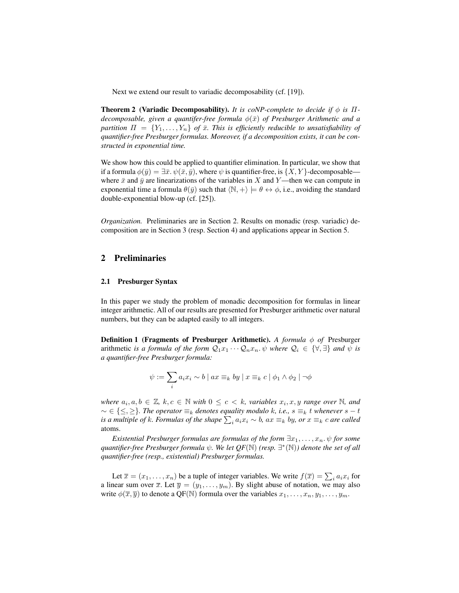Next we extend our result to variadic decomposability (cf. [19]).

**Theorem 2** (Variadic Decomposability). *It is coNP-complete to decide if*  $\phi$  *is*  $\Pi$ *decomposable, given a quantifer-free formula*  $\phi(\bar{x})$  *of Presburger Arithmetic and a partition*  $\Pi = \{Y_1, \ldots, Y_n\}$  *of*  $\bar{x}$ *. This is efficiently reducible to unsatisfiability of quantifier-free Presburger formulas. Moreover, if a decomposition exists, it can be constructed in exponential time.*

We show how this could be applied to quantifier elimination. In particular, we show that if a formula  $\phi(\bar{y}) = \exists \bar{x}.\psi(\bar{x}, \bar{y})$ , where  $\psi$  is quantifier-free, is  $\{X, Y\}$ -decomposablewhere  $\bar{x}$  and  $\bar{y}$  are linearizations of the variables in X and Y—then we can compute in exponential time a formula  $\theta(\bar{y})$  such that  $\langle \mathbb{N}, + \rangle \models \theta \leftrightarrow \phi$ , i.e., avoiding the standard double-exponential blow-up (cf. [25]).

*Organization.* Preliminaries are in Section 2. Results on monadic (resp. variadic) decomposition are in Section 3 (resp. Section 4) and applications appear in Section 5.

## 2 Preliminaries

#### 2.1 Presburger Syntax

In this paper we study the problem of monadic decomposition for formulas in linear integer arithmetic. All of our results are presented for Presburger arithmetic over natural numbers, but they can be adapted easily to all integers.

**Definition 1 (Fragments of Presburger Arithmetic).** *A formula φ of* Presburger arithmetic *is a formula of the form*  $Q_1x_1 \cdots Q_nx_n$ .  $\psi$  *where*  $Q_i \in \{\forall, \exists\}$  *and*  $\psi$  *is a quantifier-free Presburger formula:*

$$
\psi := \sum_{i} a_i x_i \sim b \mid ax \equiv_k by \mid x \equiv_k c \mid \phi_1 \wedge \phi_2 \mid \neg \phi
$$

 $where \ a_i, a, b \in \mathbb{Z}, k, c \in \mathbb{N} \ with \ 0 \leq c \leq k$ , variables  $x_i, x, y$  range over  $\mathbb{N}$ , and  $\alpha$  ∈ { $\leq$ ,  $\geq$ }*. The operator*  $\equiv$ <sub>k</sub> *denotes equality modulo k, i.e., s*  $\equiv$ <sub>k</sub> *t whenever s* − *t is a multiple of k. Formulas of the shape*  $\sum_i a_i x_i \sim b$ *,*  $ax \equiv_k by$ *, or*  $x \equiv_k c$  *are called* atoms.

*Existential Presburger formulas are formulas of the form*  $\exists x_1, \ldots, x_n$ .  $\psi$  *for some* quantifier-free Presburger formula  $\psi$ . We let  $QF(\mathbb{N})$  (resp.  $\exists^*(\mathbb{N})$ ) denote the set of all *quantifier-free (resp., existential) Presburger formulas.*

Let  $\overline{x} = (x_1, \dots, x_n)$  be a tuple of integer variables. We write  $f(\overline{x}) = \sum_i a_i x_i$  for a linear sum over  $\overline{x}$ . Let  $\overline{y} = (y_1, \ldots, y_m)$ . By slight abuse of notation, we may also write  $\phi(\overline{x}, \overline{y})$  to denote a QF(N) formula over the variables  $x_1, \ldots, x_n, y_1, \ldots, y_m$ .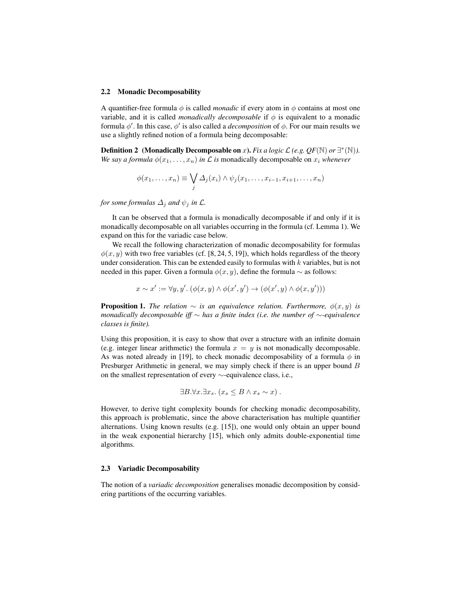#### 2.2 Monadic Decomposability

A quantifier-free formula  $\phi$  is called *monadic* if every atom in  $\phi$  contains at most one variable, and it is called *monadically decomposable* if  $\phi$  is equivalent to a monadic formula  $\phi'$ . In this case,  $\phi'$  is also called a *decomposition* of  $\phi$ . For our main results we use a slightly refined notion of a formula being decomposable:

**Definition 2** (Monadically Decomposable on x). *Fix a logic*  $\mathcal{L}(e.g. QF(\mathbb{N})$  *or*  $\exists^*(\mathbb{N})$ . *We say a formula*  $\phi(x_1, \ldots, x_n)$  *in*  $\mathcal L$  *is* monadically decomposable on  $x_i$  *whenever* 

$$
\phi(x_1,\ldots,x_n) \equiv \bigvee_j \Delta_j(x_i) \wedge \psi_j(x_1,\ldots,x_{i-1},x_{i+1},\ldots,x_n)
$$

*for some formulas*  $\Delta_i$  *and*  $\psi_i$  *in*  $\mathcal{L}$ *.* 

It can be observed that a formula is monadically decomposable if and only if it is monadically decomposable on all variables occurring in the formula (cf. Lemma 1). We expand on this for the variadic case below.

We recall the following characterization of monadic decomposability for formulas  $\phi(x, y)$  with two free variables (cf. [8, 24, 5, 19]), which holds regardless of the theory under consideration. This can be extended easily to formulas with  $k$  variables, but is not needed in this paper. Given a formula  $\phi(x, y)$ , define the formula ∼ as follows:

 $x \sim x' := \forall y, y'. \left( \phi(x, y) \land \phi(x', y') \rightarrow (\phi(x', y) \land \phi(x, y')) \right)$ 

**Proposition 1.** *The relation*  $\sim$  *is an equivalence relation. Furthermore,*  $\phi(x, y)$  *is monadically decomposable iff* ∼ *has a finite index (i.e. the number of* ∼*-equivalence classes is finite).*

Using this proposition, it is easy to show that over a structure with an infinite domain (e.g. integer linear arithmetic) the formula  $x = y$  is not monadically decomposable. As was noted already in [19], to check monadic decomposability of a formula  $\phi$  in Presburger Arithmetic in general, we may simply check if there is an upper bound B on the smallest representation of every ∼-equivalence class, i.e.,

$$
\exists B. \forall x. \exists x_s. (x_s \leq B \land x_s \sim x) .
$$

However, to derive tight complexity bounds for checking monadic decomposability, this approach is problematic, since the above characterisation has multiple quantifier alternations. Using known results (e.g. [15]), one would only obtain an upper bound in the weak exponential hierarchy [15], which only admits double-exponential time algorithms.

## 2.3 Variadic Decomposability

The notion of a *variadic decomposition* generalises monadic decomposition by considering partitions of the occurring variables.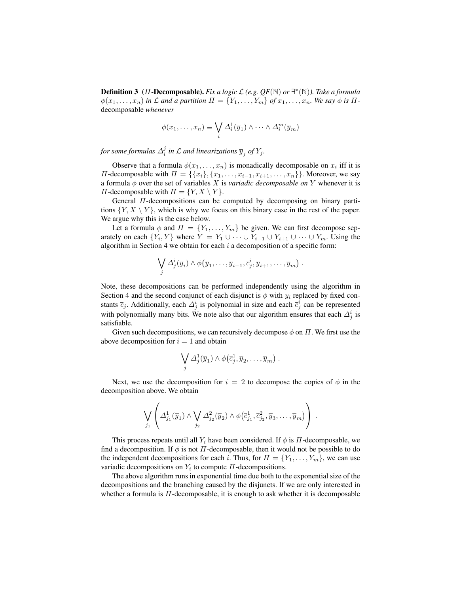Definition 3 (Π-Decomposable). *Fix a logic* L *(e.g. QF*(N) *or* ∃ ∗ (N)*). Take a formula*  $\phi(x_1, \ldots, x_n)$  *in*  $\mathcal L$  *and a partition*  $\Pi = \{Y_1, \ldots, Y_m\}$  *of*  $x_1, \ldots, x_n$ *. We say*  $\phi$  *is*  $\Pi$ decomposable *whenever*

$$
\phi(x_1,\ldots,x_n) \equiv \bigvee_i \Delta_i^1(\overline{y}_1) \wedge \cdots \wedge \Delta_i^m(\overline{y}_m)
$$

for some formulas  $\Delta_i^j$  in  ${\mathcal L}$  and linearizations  $\overline{y}_j$  of  $Y_j$ .

Observe that a formula  $\phi(x_1, \ldots, x_n)$  is monadically decomposable on  $x_i$  iff it is  $\Pi$ -decomposable with  $\Pi = \{\{x_i\}, \{x_1, \ldots, x_{i-1}, x_{i+1}, \ldots, x_n\}\}\.$  Moreover, we say a formula  $\phi$  over the set of variables X is *variadic decomposable on* Y whenever it is  $\Pi$ -decomposable with  $\Pi = \{Y, X \setminus Y\}.$ 

General Π-decompositions can be computed by decomposing on binary partitions  $\{Y, X \setminus Y\}$ , which is why we focus on this binary case in the rest of the paper. We argue why this is the case below.

Let a formula  $\phi$  and  $\Pi = \{Y_1, \ldots, Y_m\}$  be given. We can first decompose separately on each  $\{Y_i, Y\}$  where  $Y = Y_1 \cup \cdots \cup Y_{i-1} \cup Y_{i+1} \cup \cdots \cup Y_m$ . Using the algorithm in Section 4 we obtain for each  $i$  a decomposition of a specific form:

$$
\bigvee_j \Delta_j^i(\overline{y}_i) \wedge \phi(\overline{y}_1,\ldots,\overline{y}_{i-1},\overline{c}_j^i,\overline{y}_{i+1},\ldots,\overline{y}_m) .
$$

Note, these decompositions can be performed independently using the algorithm in Section 4 and the second conjunct of each disjunct is  $\phi$  with  $y_i$  replaced by fixed constants  $\bar{c}_j$ . Additionally, each  $\Delta_j^i$  is polynomial in size and each  $\bar{c}_j^i$  can be represented with polynomially many bits. We note also that our algorithm ensures that each  $\Delta_j^i$  is satisfiable.

Given such decompositions, we can recursively decompose  $\phi$  on  $\Pi$ . We first use the above decomposition for  $i = 1$  and obtain

$$
\bigvee_j \Delta_j^1(\overline{y}_1) \wedge \phi(\overline{c}_j^1, \overline{y}_2, \ldots, \overline{y}_m) .
$$

Next, we use the decomposition for  $i = 2$  to decompose the copies of  $\phi$  in the decomposition above. We obtain

$$
\bigvee_{j_1}\left(\varDelta^1_{j_1}(\overline{y}_1)\wedge\bigvee_{j_2}\varDelta^2_{j_2}(\overline{y}_2)\wedge\phi(\overline{c}^1_{j_1},\overline{c}^2_{j_2},\overline{y}_3,\ldots,\overline{y}_m)\right).
$$

This process repeats until all  $Y_i$  have been considered. If  $\phi$  is  $\Pi$ -decomposable, we find a decomposition. If  $\phi$  is not  $\Pi$ -decomposable, then it would not be possible to do the independent decompositions for each i. Thus, for  $\Pi = \{Y_1, \ldots, Y_m\}$ , we can use variadic decompositions on  $Y_i$  to compute  $\Pi$ -decompositions.

The above algorithm runs in exponential time due both to the exponential size of the decompositions and the branching caused by the disjuncts. If we are only interested in whether a formula is  $\Pi$ -decomposable, it is enough to ask whether it is decomposable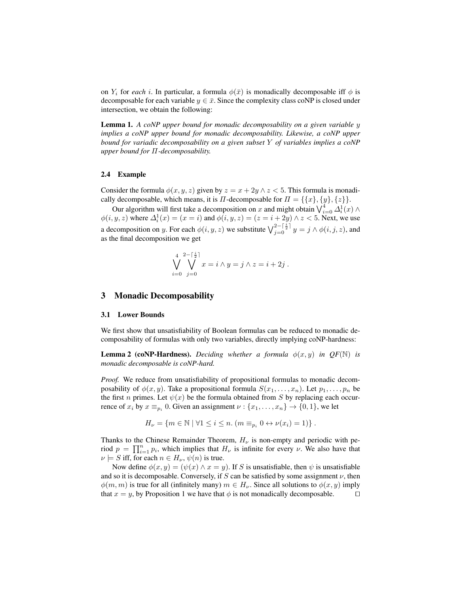on  $Y_i$  for *each* i. In particular, a formula  $\phi(\bar{x})$  is monadically decomposable iff  $\phi$  is decomposable for each variable  $y \in \bar{x}$ . Since the complexity class coNP is closed under intersection, we obtain the following:

Lemma 1. *A coNP upper bound for monadic decomposability on a given variable* y *implies a coNP upper bound for monadic decomposability. Likewise, a coNP upper bound for variadic decomposability on a given subset* Y *of variables implies a coNP upper bound for* Π*-decomposability.*

## 2.4 Example

Consider the formula  $\phi(x, y, z)$  given by  $z = x + 2y \wedge z < 5$ . This formula is monadically decomposable, which means, it is  $\Pi$ -decomposable for  $\Pi = \{\{x\}, \{y\}, \{z\}\}.$ 

Our algorithm will first take a decomposition on x and might obtain  $\bigvee_{i=0}^4 \Delta_i^1(x) \wedge$  $\phi(i, y, z)$  where  $\Delta_i^1(x) = (x = i)$  and  $\phi(i, y, z) = (z = i + 2y) \wedge z < 5$ . Next, we use a decomposition on y. For each  $\phi(i, y, z)$  we substitute  $\bigvee_{j=0}^{2-\lceil \frac{i}{2}\rceil} y = j \wedge \phi(i, j, z)$ , and as the final decomposition we get

$$
\bigvee_{i=0}^{4} \bigvee_{j=0}^{2-\lceil \frac{i}{2} \rceil} x = i \wedge y = j \wedge z = i + 2j.
$$

## 3 Monadic Decomposability

### 3.1 Lower Bounds

We first show that unsatisfiability of Boolean formulas can be reduced to monadic decomposability of formulas with only two variables, directly implying coNP-hardness:

**Lemma 2 (coNP-Hardness).** *Deciding whether a formula*  $\phi(x, y)$  *in QF*(N) *is monadic decomposable is coNP-hard.*

*Proof.* We reduce from unsatisfiability of propositional formulas to monadic decomposability of  $\phi(x, y)$ . Take a propositional formula  $S(x_1, \ldots, x_n)$ . Let  $p_1, \ldots, p_n$  be the first *n* primes. Let  $\psi(x)$  be the formula obtained from *S* by replacing each occurrence of  $x_i$  by  $x \equiv_{p_i} 0$ . Given an assignment  $\nu : \{x_1, \ldots, x_n\} \to \{0, 1\}$ , we let

$$
H_{\nu} = \{ m \in \mathbb{N} \mid \forall 1 \leq i \leq n. \ (m \equiv_{p_i} 0 \leftrightarrow \nu(x_i) = 1) \}.
$$

Thanks to the Chinese Remainder Theorem,  $H_{\nu}$  is non-empty and periodic with period  $p = \prod_{i=1}^{n} p_i$ , which implies that  $H_{\nu}$  is infinite for every  $\nu$ . We also have that  $\nu \models S$  iff, for each  $n \in H_{\nu}$ ,  $\psi(n)$  is true.

Now define  $\phi(x, y) = (\psi(x) \wedge x = y)$ . If S is unsatisfiable, then  $\psi$  is unsatisfiable and so it is decomposable. Conversely, if S can be satisfied by some assignment  $\nu$ , then  $\phi(m, m)$  is true for all (infinitely many)  $m \in H_{\nu}$ . Since all solutions to  $\phi(x, y)$  imply that  $x = y$ , by Proposition 1 we have that  $\phi$  is not monadically decomposable.  $\square$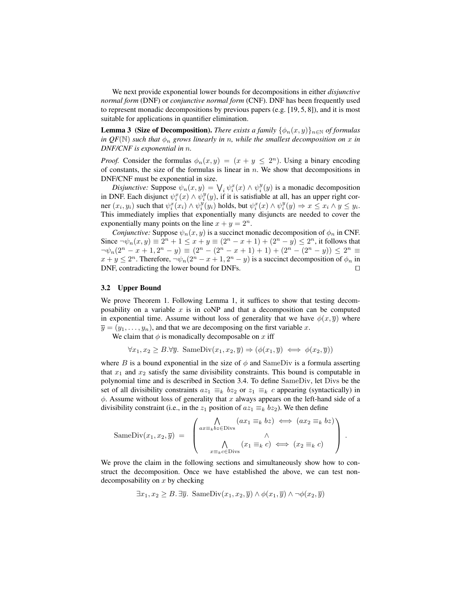We next provide exponential lower bounds for decompositions in either *disjunctive normal form* (DNF) or *conjunctive normal form* (CNF). DNF has been frequently used to represent monadic decompositions by previous papers (e.g. [19, 5, 8]), and it is most suitable for applications in quantifier elimination.

**Lemma 3 (Size of Decomposition).** *There exists a family*  $\{\phi_n(x, y)\}_{n \in \mathbb{N}}$  *of formulas in QF*(N) *such that*  $\phi_n$  *grows linearly in n, while the smallest decomposition on* x *in DNF/CNF is exponential in* n*.*

*Proof.* Consider the formulas  $\phi_n(x, y) = (x + y \leq 2^n)$ . Using a binary encoding of constants, the size of the formulas is linear in  $n$ . We show that decompositions in DNF/CNF must be exponential in size.

*Disjunctive:* Suppose  $\psi_n(x, y) = \bigvee_i \psi_i^x(x) \wedge \psi_i^y(y)$  is a monadic decomposition in DNF. Each disjunct  $\psi_i^x(x) \wedge \psi_i^y(y)$ , if it is satisfiable at all, has an upper right corner  $(x_i, y_i)$  such that  $\psi_i^x(x_i) \wedge \psi_i^y(y_i)$  holds, but  $\psi_i^x(x) \wedge \psi_i^y(y) \Rightarrow x \leq x_i \wedge y \leq y_i$ . This immediately implies that exponentially many disjuncts are needed to cover the exponentially many points on the line  $x + y = 2^n$ .

*Conjunctive:* Suppose  $\psi_n(x, y)$  is a succinct monadic decomposition of  $\phi_n$  in CNF. Since  $\neg \psi_n(x, y) \equiv 2^n + 1 \le x + y \equiv (2^n - x + 1) + (2^n - y) \le 2^n$ , it follows that  $\neg\psi_n(2^n - x + 1, 2^n - y) \equiv (2^n - (2^n - x + 1) + 1) + (2^n - (2^n - y)) \leq 2^n \equiv$  $x + y \le 2^n$ . Therefore,  $\neg \psi_n(2^n - x + 1, 2^n - y)$  is a succinct decomposition of  $\phi_n$  in  $DNF$ , contradicting the lower bound for DNFs.  $\Box$ 

### 3.2 Upper Bound

We prove Theorem 1. Following Lemma 1, it suffices to show that testing decomposability on a variable  $x$  is in coNP and that a decomposition can be computed in exponential time. Assume without loss of generality that we have  $\phi(x, \overline{y})$  where  $\overline{y} = (y_1, \ldots, y_n)$ , and that we are decomposing on the first variable x.

We claim that  $\phi$  is monadically decomposable on x iff

$$
\forall x_1, x_2 \ge B. \forall \overline{y}. \; \text{SameDiv}(x_1, x_2, \overline{y}) \Rightarrow (\phi(x_1, \overline{y}) \iff \phi(x_2, \overline{y}))
$$

where B is a bound exponential in the size of  $\phi$  and SameDiv is a formula asserting that  $x_1$  and  $x_2$  satisfy the same divisibility constraints. This bound is computable in polynomial time and is described in Section 3.4. To define SameDiv, let Divs be the set of all divisibility constraints  $az_1 \equiv_k bz_2$  or  $z_1 \equiv_k c$  appearing (syntactically) in  $\phi$ . Assume without loss of generality that x always appears on the left-hand side of a divisibility constraint (i.e., in the  $z_1$  position of  $az_1 \equiv_k bz_2$ ). We then define

$$
\text{SameDiv}(x_1, x_2, \overline{y}) = \begin{pmatrix} \bigwedge_{ax \equiv_k bz \in \text{Divs}} (ax_1 \equiv_k bz) \iff (ax_2 \equiv_k bz) \\ \bigwedge_{x \equiv_k c \in \text{Divs}} (x_1 \equiv_k c) \iff (x_2 \equiv_k c) \end{pmatrix}.
$$

We prove the claim in the following sections and simultaneously show how to construct the decomposition. Once we have established the above, we can test nondecomposability on  $x$  by checking

$$
\exists x_1, x_2 \ge B. \exists \overline{y}. \text{ SameDiv}(x_1, x_2, \overline{y}) \land \phi(x_1, \overline{y}) \land \neg \phi(x_2, \overline{y})
$$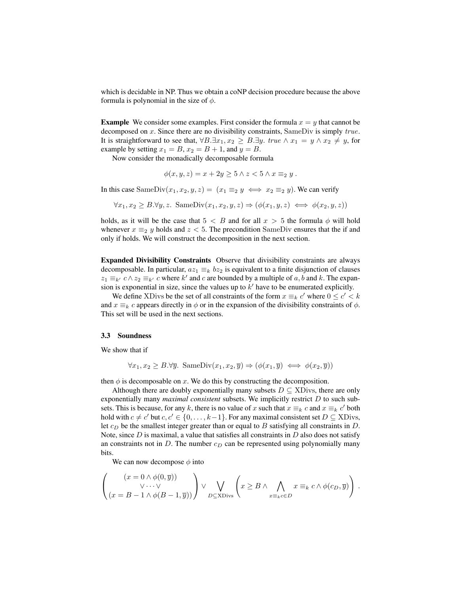which is decidable in NP. Thus we obtain a coNP decision procedure because the above formula is polynomial in the size of  $\phi$ .

**Example** We consider some examples. First consider the formula  $x = y$  that cannot be decomposed on  $x$ . Since there are no divisibility constraints, SameDiv is simply  $true$ . It is straightforward to see that,  $\forall B.\exists x_1, x_2 \geq B.\exists y.$  true  $\land x_1 = y \land x_2 \neq y$ , for example by setting  $x_1 = B$ ,  $x_2 = B + 1$ , and  $y = B$ .

Now consider the monadically decomposable formula

$$
\phi(x, y, z) = x + 2y \ge 5 \land z < 5 \land x \equiv_2 y \, .
$$

In this case SameDiv $(x_1, x_2, y, z) = (x_1 \equiv_2 y \iff x_2 \equiv_2 y)$ . We can verify

$$
\forall x_1, x_2 \ge B. \forall y, z. \text{ SameDiv}(x_1, x_2, y, z) \Rightarrow (\phi(x_1, y, z) \iff \phi(x_2, y, z))
$$

holds, as it will be the case that  $5 < B$  and for all  $x > 5$  the formula  $\phi$  will hold whenever  $x \equiv_2 y$  holds and  $z < 5$ . The precondition SameDiv ensures that the if and only if holds. We will construct the decomposition in the next section.

Expanded Divisibility Constraints Observe that divisibility constraints are always decomposable. In particular,  $az_1 \equiv_k bz_2$  is equivalent to a finite disjunction of clauses  $z_1 \equiv_{k'} c \wedge z_2 \equiv_{k'} c$  where  $k'$  and c are bounded by a multiple of a, b and k. The expansion is exponential in size, since the values up to  $k'$  have to be enumerated explicitly.

We define XDivs be the set of all constraints of the form  $x \equiv_k c'$  where  $0 \le c' < k$ and  $x \equiv_k c$  appears directly in  $\phi$  or in the expansion of the divisibility constraints of  $\phi$ . This set will be used in the next sections.

#### 3.3 Soundness

We show that if

$$
\forall x_1, x_2 \geq B. \forall \overline{y}. \; \text{SameDiv}(x_1, x_2, \overline{y}) \Rightarrow (\phi(x_1, \overline{y}) \iff \phi(x_2, \overline{y}))
$$

then  $\phi$  is decomposable on x. We do this by constructing the decomposition.

Although there are doubly exponentially many subsets  $D \subseteq \text{XDivs}$ , there are only exponentially many *maximal consistent* subsets. We implicitly restrict D to such subsets. This is because, for any k, there is no value of x such that  $x \equiv_k c$  and  $x \equiv_k c'$  both hold with  $c \neq c'$  but  $c, c' \in \{0, ..., k-1\}$ . For any maximal consistent set  $D \subseteq \text{XDivs}$ , let  $c_D$  be the smallest integer greater than or equal to B satisfying all constraints in D. Note, since  $D$  is maximal, a value that satisfies all constraints in  $D$  also does not satisfy an constraints not in  $D$ . The number  $c_D$  can be represented using polynomially many bits.

We can now decompose  $\phi$  into

$$
\left(\begin{array}{c} (x = 0 \wedge \phi(0, \overline{y})) \\ \vee \cdots \vee \\ (x = B - 1 \wedge \phi(B - 1, \overline{y})) \end{array}\right) \vee \bigvee_{D \subseteq \text{XDivs}} \left(x \geq B \wedge \bigwedge_{x \equiv_k c \in D} x \equiv_k c \wedge \phi(c_D, \overline{y})\right).
$$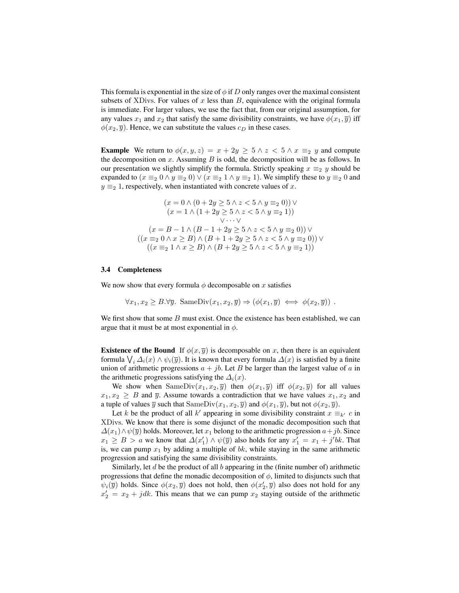This formula is exponential in the size of  $\phi$  if D only ranges over the maximal consistent subsets of XDivs. For values of x less than  $B$ , equivalence with the original formula is immediate. For larger values, we use the fact that, from our original assumption, for any values  $x_1$  and  $x_2$  that satisfy the same divisibility constraints, we have  $\phi(x_1, \overline{y})$  iff  $\phi(x_2, \overline{y})$ . Hence, we can substitute the values  $c_D$  in these cases.

**Example** We return to  $\phi(x, y, z) = x + 2y \ge 5 \land z < 5 \land x \equiv_2 y$  and compute the decomposition on  $x$ . Assuming  $B$  is odd, the decomposition will be as follows. In our presentation we slightly simplify the formula. Strictly speaking  $x \equiv_2 y$  should be expanded to  $(x \equiv_2 0 \land y \equiv_2 0) \lor (x \equiv_2 1 \land y \equiv_2 1)$ . We simplify these to  $y \equiv_2 0$  and  $y \equiv_2 1$ , respectively, when instantiated with concrete values of x.

$$
(x = 0 \land (0 + 2y \ge 5 \land z < 5 \land y \equiv_2 0)) \lor (x = 1 \land (1 + 2y \ge 5 \land z < 5 \land y \equiv_2 1)) \lor \dots \lor (x = B - 1 \land (B - 1 + 2y \ge 5 \land z < 5 \land y \equiv_2 0)) \lor ((x \equiv_2 0 \land x \ge B) \land (B + 1 + 2y \ge 5 \land z < 5 \land y \equiv_2 0)) \lor ((x \equiv_2 1 \land x \ge B) \land (B + 2y \ge 5 \land z < 5 \land y \equiv_2 1))
$$

#### 3.4 Completeness

We now show that every formula  $\phi$  decomposable on x satisfies

$$
\forall x_1, x_2 \ge B. \forall \overline{y}. \text{ SameDiv}(x_1, x_2, \overline{y}) \Rightarrow (\phi(x_1, \overline{y}) \iff \phi(x_2, \overline{y})).
$$

We first show that some  $B$  must exist. Once the existence has been established, we can argue that it must be at most exponential in  $\phi$ .

**Existence of the Bound** If  $\phi(x, \overline{y})$  is decomposable on x, then there is an equivalent formula  $\bigvee_i \Delta_i(x) \wedge \psi_i(\overline{y})$ . It is known that every formula  $\Delta(x)$  is satisfied by a finite union of arithmetic progressions  $a + jb$ . Let B be larger than the largest value of a in the arithmetic progressions satisfying the  $\Delta_i(x)$ .

We show when SameDiv $(x_1, x_2, \overline{y})$  then  $\phi(x_1, \overline{y})$  iff  $\phi(x_2, \overline{y})$  for all values  $x_1, x_2 \geq B$  and  $\overline{y}$ . Assume towards a contradiction that we have values  $x_1, x_2$  and a tuple of values  $\overline{y}$  such that SameDiv $(x_1, x_2, \overline{y})$  and  $\phi(x_1, \overline{y})$ , but not  $\phi(x_2, \overline{y})$ .

Let k be the product of all k' appearing in some divisibility constraint  $x \equiv_{k'} c$  in XDivs. We know that there is some disjunct of the monadic decomposition such that  $\Delta(x_1) \wedge \psi(\overline{y})$  holds. Moreover, let  $x_1$  belong to the arithmetic progression  $a+jb$ . Since  $x_1 \geq B > a$  we know that  $\Delta(x_1') \wedge \psi(\overline{y})$  also holds for any  $x_1' = x_1 + j'bk$ . That is, we can pump  $x_1$  by adding a multiple of bk, while staying in the same arithmetic progression and satisfying the same divisibility constraints.

Similarly, let  $d$  be the product of all  $b$  appearing in the (finite number of) arithmetic progressions that define the monadic decomposition of  $\phi$ , limited to disjuncts such that  $\psi_i(\overline{y})$  holds. Since  $\phi(x_2, \overline{y})$  does not hold, then  $\phi(x_2', \overline{y})$  also does not hold for any  $x_2' = x_2 + jdk$ . This means that we can pump  $x_2$  staying outside of the arithmetic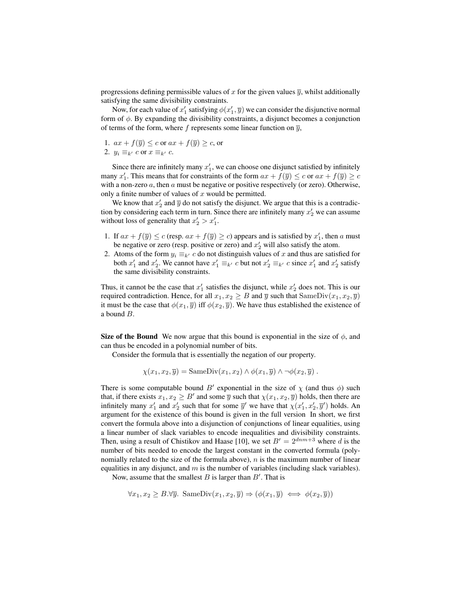progressions defining permissible values of x for the given values  $\bar{y}$ , whilst additionally satisfying the same divisibility constraints.

Now, for each value of  $x'_1$  satisfying  $\phi(x'_1, \overline{y})$  we can consider the disjunctive normal form of  $\phi$ . By expanding the divisibility constraints, a disjunct becomes a conjunction of terms of the form, where f represents some linear function on  $\overline{y}$ ,

1.  $ax + f(\overline{y}) \leq c$  or  $ax + f(\overline{y}) \geq c$ , or 2.  $y_i \equiv_{k'} c$  or  $x \equiv_{k'} c$ .

Since there are infinitely many  $x'_1$ , we can choose one disjunct satisfied by infinitely many  $x'_1$ . This means that for constraints of the form  $ax + f(\overline{y}) \le c$  or  $ax + f(\overline{y}) \ge c$ with a non-zero  $a$ , then  $a$  must be negative or positive respectively (or zero). Otherwise, only a finite number of values of  $x$  would be permitted.

We know that  $x_2'$  and  $\overline{y}$  do not satisfy the disjunct. We argue that this is a contradiction by considering each term in turn. Since there are infinitely many  $x_2'$  we can assume without loss of generality that  $x_2' > x_1'$ .

- 1. If  $ax + f(\overline{y}) \le c$  (resp.  $ax + f(\overline{y}) \ge c$ ) appears and is satisfied by  $x'_1$ , then a must be negative or zero (resp. positive or zero) and  $x_2$  will also satisfy the atom.
- 2. Atoms of the form  $y_i \equiv_{k'} c$  do not distinguish values of x and thus are satisfied for both  $x'_1$  and  $x'_2$ . We cannot have  $x'_1 \equiv_{k'} c$  but not  $x'_2 \equiv_{k'} c$  since  $x'_1$  and  $x'_2$  satisfy the same divisibility constraints.

Thus, it cannot be the case that  $x'_1$  satisfies the disjunct, while  $x'_2$  does not. This is our required contradiction. Hence, for all  $x_1, x_2 \geq B$  and  $\overline{y}$  such that SameDiv $(x_1, x_2, \overline{y})$ it must be the case that  $\phi(x_1, \overline{y})$  iff  $\phi(x_2, \overline{y})$ . We have thus established the existence of a bound B.

Size of the Bound We now argue that this bound is exponential in the size of  $\phi$ , and can thus be encoded in a polynomial number of bits.

Consider the formula that is essentially the negation of our property.

$$
\chi(x_1, x_2, \overline{y}) = \text{SameDiv}(x_1, x_2) \wedge \phi(x_1, \overline{y}) \wedge \neg \phi(x_2, \overline{y}).
$$

There is some computable bound B' exponential in the size of  $\chi$  (and thus  $\phi$ ) such that, if there exists  $x_1, x_2 \geq B'$  and some  $\overline{y}$  such that  $\chi(x_1, x_2, \overline{y})$  holds, then there are infinitely many  $x'_1$  and  $x'_2$  such that for some  $\overline{y}'$  we have that  $\chi(x'_1, x'_2, \overline{y}')$  holds. An argument for the existence of this bound is given in the full version In short, we first convert the formula above into a disjunction of conjunctions of linear equalities, using a linear number of slack variables to encode inequalities and divisibility constraints. Then, using a result of Chistikov and Haase [10], we set  $B' = 2^{dmm+3}$  where d is the number of bits needed to encode the largest constant in the converted formula (polynomially related to the size of the formula above),  $n$  is the maximum number of linear equalities in any disjunct, and  $m$  is the number of variables (including slack variables).

Now, assume that the smallest  $B$  is larger than  $B'$ . That is

$$
\forall x_1, x_2 \ge B. \forall \overline{y}. \text{ SameDiv}(x_1, x_2, \overline{y}) \Rightarrow (\phi(x_1, \overline{y}) \iff \phi(x_2, \overline{y}))
$$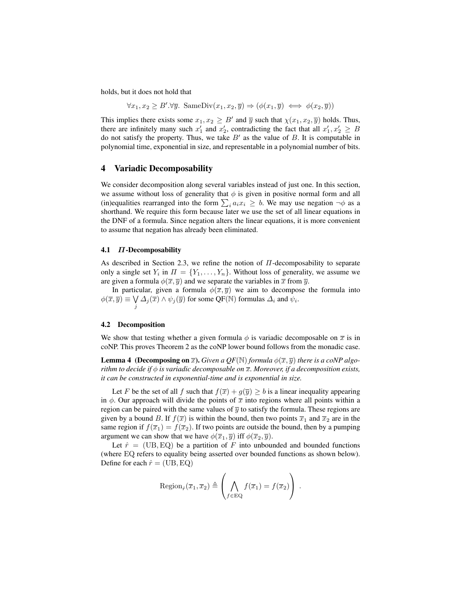holds, but it does not hold that

 $\forall x_1, x_2 \geq B' \forall \overline{y}$ . SameDiv $(x_1, x_2, \overline{y}) \Rightarrow (\phi(x_1, \overline{y}) \iff \phi(x_2, \overline{y}))$ 

This implies there exists some  $x_1, x_2 \geq B'$  and  $\overline{y}$  such that  $\chi(x_1, x_2, \overline{y})$  holds. Thus, there are infinitely many such  $x'_1$  and  $x'_2$ , contradicting the fact that all  $x'_1, x'_2 \geq B$ do not satisfy the property. Thus, we take  $B'$  as the value of  $B$ . It is computable in polynomial time, exponential in size, and representable in a polynomial number of bits.

## 4 Variadic Decomposability

We consider decomposition along several variables instead of just one. In this section, we assume without loss of generality that  $\phi$  is given in positive normal form and all (in)equalities rearranged into the form  $\sum_i a_i x_i \geq b$ . We may use negation  $\neg \phi$  as a shorthand. We require this form because later we use the set of all linear equations in the DNF of a formula. Since negation alters the linear equations, it is more convenient to assume that negation has already been eliminated.

## 4.1 Π-Decomposability

As described in Section 2.3, we refine the notion of  $\Pi$ -decomposability to separate only a single set  $Y_i$  in  $\Pi = \{Y_1, \ldots, Y_n\}$ . Without loss of generality, we assume we are given a formula  $\phi(\overline{x}, \overline{y})$  and we separate the variables in  $\overline{x}$  from  $\overline{y}$ .

In particular, given a formula  $\phi(\bar{x}, \bar{y})$  we aim to decompose the formula into  $\phi(\overline{x}, \overline{y}) \equiv \bigvee$  $\bigvee_j \Delta_j(\overline{x}) \wedge \psi_j(\overline{y})$  for some QF(N) formulas  $\Delta_i$  and  $\overline{\psi}_i$ .

### 4.2 Decomposition

We show that testing whether a given formula  $\phi$  is variadic decomposable on  $\bar{x}$  is in coNP. This proves Theorem 2 as the coNP lower bound follows from the monadic case.

**Lemma 4** (Decomposing on  $\overline{x}$ ). *Given a QF*(N) *formula*  $\phi(\overline{x}, \overline{y})$  *there is a coNP algorithm to decide if*  $\phi$  *is variadic decomposable on*  $\overline{x}$ *. Moreover, if a decomposition exists, it can be constructed in exponential-time and is exponential in size.*

Let F be the set of all f such that  $f(\overline{x}) + g(\overline{y}) \ge b$  is a linear inequality appearing in  $\phi$ . Our approach will divide the points of  $\bar{x}$  into regions where all points within a region can be paired with the same values of  $\overline{y}$  to satisfy the formula. These regions are given by a bound B. If  $f(\bar{x})$  is within the bound, then two points  $\bar{x}_1$  and  $\bar{x}_2$  are in the same region if  $f(\overline{x}_1) = f(\overline{x}_2)$ . If two points are outside the bound, then by a pumping argument we can show that we have  $\phi(\overline{x}_1, \overline{y})$  iff  $\phi(\overline{x}_2, \overline{y})$ .

Let  $\hat{r}$  = (UB, EQ) be a partition of F into unbounded and bounded functions (where EQ refers to equality being asserted over bounded functions as shown below). Define for each  $\hat{r} = (\text{UB}, \text{EQ})$ 

$$
\mathrm{Region}_{\hat{r}}(\overline{x}_1,\overline{x}_2) \triangleq \left(\bigwedge_{f \in \mathrm{EQ}} f(\overline{x}_1) = f(\overline{x}_2)\right) .
$$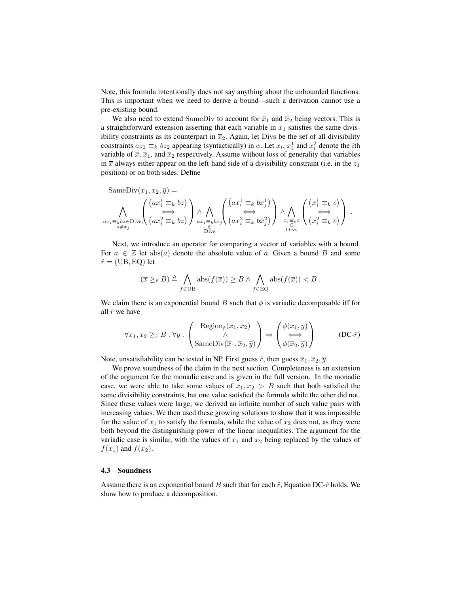Note, this formula intentionally does not say anything about the unbounded functions. This is important when we need to derive a bound—such a derivation cannot use a pre-existing bound.

We also need to extend SameDiv to account for  $\overline{x}_1$  and  $\overline{x}_2$  being vectors. This is a straightforward extension asserting that each variable in  $\overline{x}_1$  satisfies the same divisibility constraints as its counterpart in  $\overline{x}_2$ . Again, let Divs be the set of all divisibility constraints  $az_1 \equiv_k bz_2$  appearing (syntactically) in  $\phi$ . Let  $x_i$ ,  $x_i^1$  and  $x_i^2$  denote the *i*th variable of  $\overline{x}$ ,  $\overline{x}_1$ , and  $\overline{x}_2$  respectively. Assume without loss of generality that variables in  $\bar{x}$  always either appear on the left-hand side of a divisibility constraint (i.e. in the  $z_1$ ) position) or on both sides. Define

$$
\text{SameDiv}(x_1, x_2, \overline{y}) = \bigwedge_{\substack{ax_i \equiv k \ bz \in \text{Divs}, \\ \text{axis} \neq x_j}} \left( \bigg( \begin{matrix} ax_i^1 \equiv_k bz \\ \Longleftrightarrow \\ (ax_i^2 \equiv_k bz \end{matrix} \bigg) \bigwedge_{\substack{ax_i \equiv k \ bx_j \\ \longleftarrow \\ \text{Divs}}} \left( \bigg( \begin{matrix} ax_i^1 \equiv_k bx_j^1 \\ \Longleftrightarrow \\ (ax_i^2 \equiv_k bx_j^2 \end{matrix} \bigg) \bigg) \bigwedge_{\substack{x_i \equiv k \ c \\ \longleftarrow \\ \text{Divs}}} \left( \begin{matrix} \left( x_i^1 \equiv_k c \right) \\ \Longleftrightarrow \\ (x_i^2 \equiv_k c \end{matrix} \right) \right) .
$$

Next, we introduce an operator for comparing a vector of variables with a bound. For  $a \in \mathbb{Z}$  let abs(a) denote the absolute value of a. Given a bound B and some  $\hat{r} = (UB, EQ)$  let

$$
(\overline{x} \geq_{\hat{r}} B) \triangleq \bigwedge_{f \in \text{UB}} \text{abs}(f(\overline{x})) \geq B \land \bigwedge_{f \in \text{EQ}} \text{abs}(f(\overline{x})) < B \, .
$$

We claim there is an exponential bound B such that  $\phi$  is variadic decomposable iff for all  $\hat{r}$  we have

$$
\forall \overline{x}_1, \overline{x}_2 \geq_{\hat{r}} B . \forall \overline{y} . \begin{pmatrix} \text{Region}_{\hat{r}}(\overline{x}_1, \overline{x}_2) \\ \wedge \\ \text{SameDiv}(\overline{x}_1, \overline{x}_2, \overline{y}) \end{pmatrix} \Rightarrow \begin{pmatrix} \phi(\overline{x}_1, \overline{y}) \\ \Longleftrightarrow \\ \phi(\overline{x}_2, \overline{y}) \end{pmatrix}
$$
 (DC- $\hat{r}$ )

Note, unsatisfiability can be tested in NP. First guess  $\hat{r}$ , then guess  $\overline{x}_1, \overline{x}_2, \overline{y}$ .

We prove soundness of the claim in the next section. Completeness is an extension of the argument for the monadic case and is given in the full version. In the monadic case, we were able to take some values of  $x_1, x_2 > B$  such that both satisfied the same divisibility constraints, but one value satisfied the formula while the other did not. Since these values were large, we derived an infinite number of such value pairs with increasing values. We then used these growing solutions to show that it was impossible for the value of  $x_1$  to satisfy the formula, while the value of  $x_2$  does not, as they were both beyond the distinguishing power of the linear inequalities. The argument for the variadic case is similar, with the values of  $x_1$  and  $x_2$  being replaced by the values of  $f(\overline{x}_1)$  and  $f(\overline{x}_2)$ .

## 4.3 Soundness

Assume there is an exponential bound B such that for each  $\hat{r}$ , Equation DC- $\hat{r}$  holds. We show how to produce a decomposition.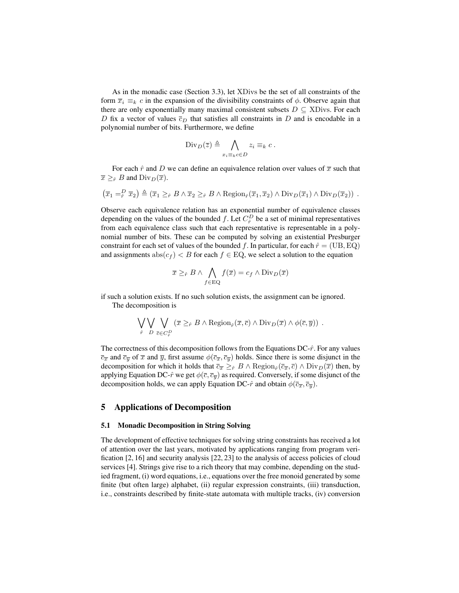As in the monadic case (Section 3.3), let XDivs be the set of all constraints of the form  $\overline{x}_i \equiv_k c$  in the expansion of the divisibility constraints of  $\phi$ . Observe again that there are only exponentially many maximal consistent subsets  $D \subseteq \text{XDivs.}$  For each D fix a vector of values  $\overline{c}_D$  that satisfies all constraints in D and is encodable in a polynomial number of bits. Furthermore, we define

$$
\mathrm{Div}_D(\overline{z}) \triangleq \bigwedge_{x_i \equiv_k c \in D} z_i \equiv_k c.
$$

For each  $\hat{r}$  and D we can define an equivalence relation over values of  $\bar{x}$  such that  $\overline{x} \geq_{\hat{r}} B$  and  $\text{Div}_D(\overline{x})$ .

$$
(\overline{x}_1 =_{\hat{r}}^D \overline{x}_2) \triangleq (\overline{x}_1 \geq_{\hat{r}} B \wedge \overline{x}_2 \geq_{\hat{r}} B \wedge \text{Region}_{\hat{r}}(\overline{x}_1, \overline{x}_2) \wedge \text{Div}_D(\overline{x}_1) \wedge \text{Div}_D(\overline{x}_2)) .
$$

Observe each equivalence relation has an exponential number of equivalence classes depending on the values of the bounded f. Let  $C_p^D$  be a set of minimal representatives from each equivalence class such that each representative is representable in a polynomial number of bits. These can be computed by solving an existential Presburger constraint for each set of values of the bounded f. In particular, for each  $\hat{r} = (\text{UB}, \text{EQ})$ and assignments  $\text{abs}(c_f) < B$  for each  $f \in EQ$ , we select a solution to the equation

$$
\overline{x} \geq_{\hat{r}} B \land \bigwedge_{f \in \text{EQ}} f(\overline{x}) = c_f \land \text{Div}_D(\overline{x})
$$

if such a solution exists. If no such solution exists, the assignment can be ignored. The decomposition is

$$
\bigvee_{\hat{r}} \bigvee_{D} \bigvee_{\overline{c} \in C_{\hat{r}}^D} (\overline{x} \geq_{\hat{r}} B \land \text{Region}_{\hat{r}}(\overline{x}, \overline{c}) \land \text{Div}_D(\overline{x}) \land \phi(\overline{c}, \overline{y})) .
$$

The correctness of this decomposition follows from the Equations  $DC-\hat{r}$ . For any values  $\overline{c}_{\overline{x}}$  and  $\overline{c}_{\overline{y}}$  of  $\overline{x}$  and  $\overline{y}$ , first assume  $\phi(\overline{c}_{\overline{x}}, \overline{c}_{\overline{y}})$  holds. Since there is some disjunct in the decomposition for which it holds that  $\overline{c}_{\overline{x}} \geq_{\hat{r}} B \wedge \text{Region}_{\hat{r}}(\overline{c}_{\overline{x}}, \overline{c}) \wedge \text{Div}_D(\overline{x})$  then, by applying Equation DC- $\hat{r}$  we get  $\phi(\bar{c}, \bar{c}_{\bar{u}})$  as required. Conversely, if some disjunct of the decomposition holds, we can apply Equation DC- $\hat{r}$  and obtain  $\phi(\overline{c}_{\overline{x}}, \overline{c}_{\overline{y}})$ .

## 5 Applications of Decomposition

## 5.1 Monadic Decomposition in String Solving

The development of effective techniques for solving string constraints has received a lot of attention over the last years, motivated by applications ranging from program verification [2, 16] and security analysis [22, 23] to the analysis of access policies of cloud services [4]. Strings give rise to a rich theory that may combine, depending on the studied fragment, (i) word equations, i.e., equations over the free monoid generated by some finite (but often large) alphabet, (ii) regular expression constraints, (iii) transduction, i.e., constraints described by finite-state automata with multiple tracks, (iv) conversion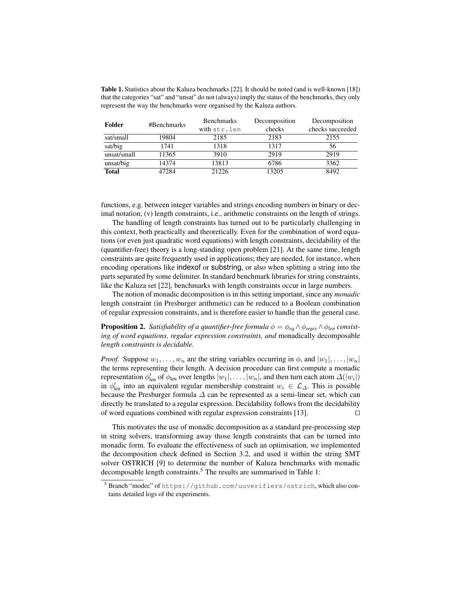Table 1. Statistics about the Kaluza benchmarks [22]. It should be noted (and is well-known [18]) that the categories "sat" and "unsat" do not (always) imply the status of the benchmarks, they only represent the way the benchmarks were organised by the Kaluza authors.

| Folder       | #Benchmarks | <b>Benchmarks</b> | Decomposition | Decomposition    |
|--------------|-------------|-------------------|---------------|------------------|
|              |             | with str.len      | checks        | checks succeeded |
| sat/small    | 19804       | 2185              | 2183          | 2155             |
| sat/big      | 1741        | 1318              | 1317          | 56               |
| unsat/small  | 11365       | 3910              | 2919          | 2919             |
| unsat/big    | 14374       | 13813             | 6786          | 3362             |
| <b>Total</b> | 47284       | 21226             | 13205         | 8492             |

functions, e.g. between integer variables and strings encoding numbers in binary or decimal notation, (v) length constraints, i.e., arithmetic constraints on the length of strings.

The handling of length constraints has turned out to be particularly challenging in this context, both practically and theoretically. Even for the combination of word equations (or even just quadratic word equations) with length constraints, decidability of the (quantifier-free) theory is a long-standing open problem [21]. At the same time, length constraints are quite frequently used in applications; they are needed, for instance, when encoding operations like indexof or substring, or also when splitting a string into the parts separated by some delimiter. In standard benchmark libraries for string constraints, like the Kaluza set [22], benchmarks with length constraints occur in large numbers.

The notion of monadic decomposition is in this setting important, since any *monadic* length constraint (in Presburger arithmetic) can be reduced to a Boolean combination of regular expression constraints, and is therefore easier to handle than the general case.

**Proposition 2.** *Satisfiability of a quantifier-free formula*  $\phi = \phi_{eq} \wedge \phi_{regex} \wedge \phi_{len}$  *consisting of word equations, regular expression constraints, and* monadically decomposable *length constraints is decidable.*

*Proof.* Suppose  $w_1, \ldots, w_n$  are the string variables occurring in  $\phi$ , and  $|w_1|, \ldots, |w_n|$ the terms representing their length. A decision procedure can first compute a monadic representation  $\phi'_{len}$  of  $\phi_{len}$  over lengths  $|w_1|, \ldots, |w_n|$ , and then turn each atom  $\Delta(|w_i|)$ in  $\phi'_{\text{len}}$  into an equivalent regular membership constraint  $w_i \in \mathcal{L}_{\Delta}$ . This is possible because the Presburger formula  $\Delta$  can be represented as a semi-linear set, which can directly be translated to a regular expression. Decidability follows from the decidability of word equations combined with regular expression constraints  $[13]$ .

This motivates the use of monadic decomposition as a standard pre-processing step in string solvers, transforming away those length constraints that can be turned into monadic form. To evaluate the effectiveness of such an optimisation, we implemented the decomposition check defined in Section 3.2, and used it within the string SMT solver OSTRICH [9] to determine the number of Kaluza benchmarks with monadic decomposable length constraints.<sup>5</sup> The results are summarised in Table 1:

<sup>5</sup> Branch "modec" of https://github.com/uuverifiers/ostrich, which also contains detailed logs of the experiments.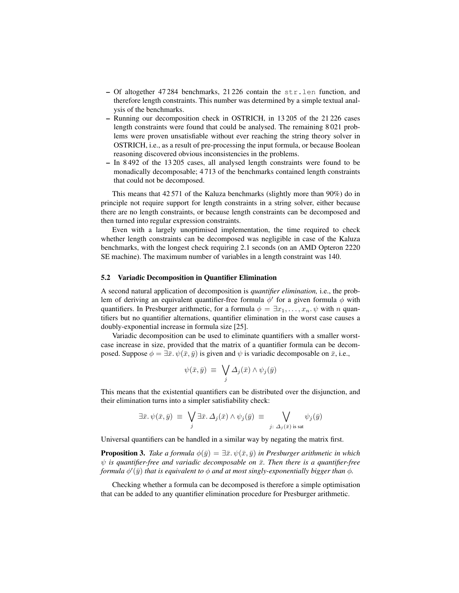- Of altogether 47 284 benchmarks, 21 226 contain the str.len function, and therefore length constraints. This number was determined by a simple textual analysis of the benchmarks.
- Running our decomposition check in OSTRICH, in 13 205 of the 21 226 cases length constraints were found that could be analysed. The remaining 8 021 problems were proven unsatisfiable without ever reaching the string theory solver in OSTRICH, i.e., as a result of pre-processing the input formula, or because Boolean reasoning discovered obvious inconsistencies in the problems.
- In 8 492 of the 13 205 cases, all analysed length constraints were found to be monadically decomposable; 4 713 of the benchmarks contained length constraints that could not be decomposed.

This means that 42 571 of the Kaluza benchmarks (slightly more than 90%) do in principle not require support for length constraints in a string solver, either because there are no length constraints, or because length constraints can be decomposed and then turned into regular expression constraints.

Even with a largely unoptimised implementation, the time required to check whether length constraints can be decomposed was negligible in case of the Kaluza benchmarks, with the longest check requiring 2.1 seconds (on an AMD Opteron 2220 SE machine). The maximum number of variables in a length constraint was 140.

### 5.2 Variadic Decomposition in Quantifier Elimination

A second natural application of decomposition is *quantifier elimination,* i.e., the problem of deriving an equivalent quantifier-free formula  $\phi'$  for a given formula  $\phi$  with quantifiers. In Presburger arithmetic, for a formula  $\phi = \exists x_1, \dots, x_n$ .  $\psi$  with n quantifiers but no quantifier alternations, quantifier elimination in the worst case causes a doubly-exponential increase in formula size [25].

Variadic decomposition can be used to eliminate quantifiers with a smaller worstcase increase in size, provided that the matrix of a quantifier formula can be decomposed. Suppose  $\phi = \exists \bar{x}, \psi(\bar{x}, \bar{y})$  is given and  $\psi$  is variadic decomposable on  $\bar{x}$ , i.e.,

$$
\psi(\bar{x}, \bar{y}) \equiv \bigvee_j \Delta_j(\bar{x}) \wedge \psi_j(\bar{y})
$$

This means that the existential quantifiers can be distributed over the disjunction, and their elimination turns into a simpler satisfiability check:

$$
\exists \bar{x}.\ \psi(\bar{x},\bar{y}) \equiv \bigvee_j \exists \bar{x}.\ \Delta_j(\bar{x}) \land \psi_j(\bar{y}) \equiv \bigvee_{j:\ \Delta_j(\bar{x}) \text{ is sat}} \psi_j(\bar{y})
$$

Universal quantifiers can be handled in a similar way by negating the matrix first.

**Proposition 3.** *Take a formula*  $\phi(\bar{y}) = \exists \bar{x} \cdot \psi(\bar{x}, \bar{y})$  *in Presburger arithmetic in which*  $ψ$  *is quantifier-free and variadic decomposable on*  $\bar{x}$ *. Then there is a quantifier-free* formula  $\phi'(\bar{y})$  *that is equivalent to*  $\phi$  *and at most singly-exponentially bigger than*  $\phi$ .

Checking whether a formula can be decomposed is therefore a simple optimisation that can be added to any quantifier elimination procedure for Presburger arithmetic.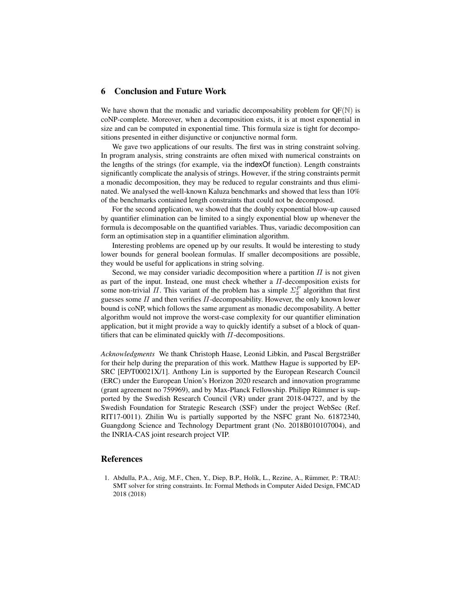## 6 Conclusion and Future Work

We have shown that the monadic and variadic decomposability problem for  $OF(N)$  is coNP-complete. Moreover, when a decomposition exists, it is at most exponential in size and can be computed in exponential time. This formula size is tight for decompositions presented in either disjunctive or conjunctive normal form.

We gave two applications of our results. The first was in string constraint solving. In program analysis, string constraints are often mixed with numerical constraints on the lengths of the strings (for example, via the indexOf function). Length constraints significantly complicate the analysis of strings. However, if the string constraints permit a monadic decomposition, they may be reduced to regular constraints and thus eliminated. We analysed the well-known Kaluza benchmarks and showed that less than 10% of the benchmarks contained length constraints that could not be decomposed.

For the second application, we showed that the doubly exponential blow-up caused by quantifier elimination can be limited to a singly exponential blow up whenever the formula is decomposable on the quantified variables. Thus, variadic decomposition can form an optimisation step in a quantifier elimination algorithm.

Interesting problems are opened up by our results. It would be interesting to study lower bounds for general boolean formulas. If smaller decompositions are possible, they would be useful for applications in string solving.

Second, we may consider variadic decomposition where a partition  $\Pi$  is not given as part of the input. Instead, one must check whether a  $\Pi$ -decomposition exists for some non-trivial  $\Pi$ . This variant of the problem has a simple  $\Sigma_2^P$  algorithm that first guesses some  $\Pi$  and then verifies  $\Pi$ -decomposability. However, the only known lower bound is coNP, which follows the same argument as monadic decomposability. A better algorithm would not improve the worst-case complexity for our quantifier elimination application, but it might provide a way to quickly identify a subset of a block of quantifiers that can be eliminated quickly with  $\Pi$ -decompositions.

*Acknowledgments* We thank Christoph Haase, Leonid Libkin, and Pascal Bergsträßer for their help during the preparation of this work. Matthew Hague is supported by EP-SRC [EP/T00021X/1]. Anthony Lin is supported by the European Research Council (ERC) under the European Union's Horizon 2020 research and innovation programme (grant agreement no 759969), and by Max-Planck Fellowship. Philipp Rümmer is supported by the Swedish Research Council (VR) under grant 2018-04727, and by the Swedish Foundation for Strategic Research (SSF) under the project WebSec (Ref. RIT17-0011). Zhilin Wu is partially supported by the NSFC grant No. 61872340, Guangdong Science and Technology Department grant (No. 2018B010107004), and the INRIA-CAS joint research project VIP.

## **References**

1. Abdulla, P.A., Atig, M.F., Chen, Y., Diep, B.P., Holík, L., Rezine, A., Rümmer, P.: TRAU: SMT solver for string constraints. In: Formal Methods in Computer Aided Design, FMCAD 2018 (2018)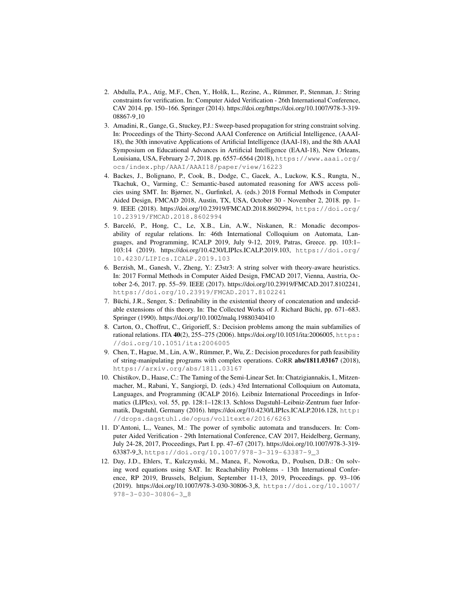- 2. Abdulla, P.A., Atig, M.F., Chen, Y., Holík, L., Rezine, A., Rümmer, P., Stenman, J.: String constraints for verification. In: Computer Aided Verification - 26th International Conference, CAV 2014. pp. 150–166. Springer (2014). https://doi.org/https://doi.org/10.1007/978-3-319- 08867-9 10
- 3. Amadini, R., Gange, G., Stuckey, P.J.: Sweep-based propagation for string constraint solving. In: Proceedings of the Thirty-Second AAAI Conference on Artificial Intelligence, (AAAI-18), the 30th innovative Applications of Artificial Intelligence (IAAI-18), and the 8th AAAI Symposium on Educational Advances in Artificial Intelligence (EAAI-18), New Orleans, Louisiana, USA, February 2-7, 2018. pp. 6557–6564 (2018), https://www.aaai.org/ ocs/index.php/AAAI/AAAI18/paper/view/16223
- 4. Backes, J., Bolignano, P., Cook, B., Dodge, C., Gacek, A., Luckow, K.S., Rungta, N., Tkachuk, O., Varming, C.: Semantic-based automated reasoning for AWS access policies using SMT. In: Bjørner, N., Gurfinkel, A. (eds.) 2018 Formal Methods in Computer Aided Design, FMCAD 2018, Austin, TX, USA, October 30 - November 2, 2018. pp. 1– 9. IEEE (2018). https://doi.org/10.23919/FMCAD.2018.8602994, https://doi.org/ 10.23919/FMCAD.2018.8602994
- 5. Barceló, P., Hong, C., Le, X.B., Lin, A.W., Niskanen, R.: Monadic decomposability of regular relations. In: 46th International Colloquium on Automata, Languages, and Programming, ICALP 2019, July 9-12, 2019, Patras, Greece. pp. 103:1– 103:14 (2019). https://doi.org/10.4230/LIPIcs.ICALP.2019.103, https://doi.org/ 10.4230/LIPIcs.ICALP.2019.103
- 6. Berzish, M., Ganesh, V., Zheng, Y.: Z3str3: A string solver with theory-aware heuristics. In: 2017 Formal Methods in Computer Aided Design, FMCAD 2017, Vienna, Austria, October 2-6, 2017. pp. 55–59. IEEE (2017). https://doi.org/10.23919/FMCAD.2017.8102241, https://doi.org/10.23919/FMCAD.2017.8102241
- 7. Büchi, J.R., Senger, S.: Definability in the existential theory of concatenation and undecidable extensions of this theory. In: The Collected Works of J. Richard Büchi, pp. 671–683. Springer (1990). https://doi.org/10.1002/malq.19880340410
- 8. Carton, O., Choffrut, C., Grigorieff, S.: Decision problems among the main subfamilies of rational relations. ITA 40(2), 255–275 (2006). https://doi.org/10.1051/ita:2006005, https: //doi.org/10.1051/ita:2006005
- 9. Chen, T., Hague, M., Lin, A.W., Rümmer, P., Wu, Z.: Decision procedures for path feasibility of string-manipulating programs with complex operations. CoRR abs/1811.03167 (2018), https://arxiv.org/abs/1811.03167
- 10. Chistikov, D., Haase, C.: The Taming of the Semi-Linear Set. In: Chatzigiannakis, I., Mitzenmacher, M., Rabani, Y., Sangiorgi, D. (eds.) 43rd International Colloquium on Automata, Languages, and Programming (ICALP 2016). Leibniz International Proceedings in Informatics (LIPIcs), vol. 55, pp. 128:1–128:13. Schloss Dagstuhl–Leibniz-Zentrum fuer Informatik, Dagstuhl, Germany (2016). https://doi.org/10.4230/LIPIcs.ICALP.2016.128, http: //drops.dagstuhl.de/opus/volltexte/2016/6263
- 11. D'Antoni, L., Veanes, M.: The power of symbolic automata and transducers. In: Computer Aided Verification - 29th International Conference, CAV 2017, Heidelberg, Germany, July 24-28, 2017, Proceedings, Part I. pp. 47–67 (2017). https://doi.org/10.1007/978-3-319- 63387-9 3, https://doi.org/10.1007/978-3-319-63387-9\_3
- 12. Day, J.D., Ehlers, T., Kulczynski, M., Manea, F., Nowotka, D., Poulsen, D.B.: On solving word equations using SAT. In: Reachability Problems - 13th International Conference, RP 2019, Brussels, Belgium, September 11-13, 2019, Proceedings. pp. 93–106 (2019). https://doi.org/10.1007/978-3-030-30806-3 8, https://doi.org/10.1007/ 978-3-030-30806-3\_8